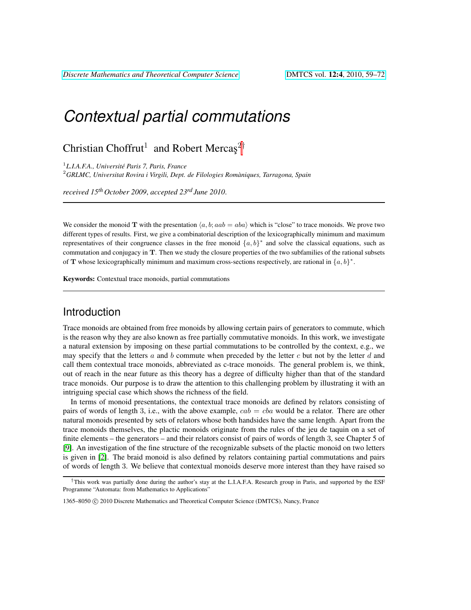# *Contextual partial commutations*

## Christian Choffrut<sup>1</sup> and Robert Mercas<sup>2†</sup>

1 *L.I.A.F.A., Universite Paris 7, Paris, France ´* <sup>2</sup>*GRLMC, Universitat Rovira i Virgili, Dept. de Filologies Romaniques, Tarragona, Spain `*

*received 15th October 2009*, *accepted 23rd June 2010*.

We consider the monoid T with the presentation  $\langle a, b; aab = aba \rangle$  which is "close" to trace monoids. We prove two different types of results. First, we give a combinatorial description of the lexicographically minimum and maximum representatives of their congruence classes in the free monoid  $\{a, b\}^*$  and solve the classical equations, such as commutation and conjugacy in T. Then we study the closure properties of the two subfamilies of the rational subsets of T whose lexicographically minimum and maximum cross-sections respectively, are rational in  $\{a, b\}^*$ .

Keywords: Contextual trace monoids, partial commutations

### Introduction

Trace monoids are obtained from free monoids by allowing certain pairs of generators to commute, which is the reason why they are also known as free partially commutative monoids. In this work, we investigate a natural extension by imposing on these partial commutations to be controlled by the context, e.g., we may specify that the letters  $a$  and  $b$  commute when preceded by the letter  $c$  but not by the letter  $d$  and call them contextual trace monoids, abbreviated as c-trace monoids. The general problem is, we think, out of reach in the near future as this theory has a degree of difficulty higher than that of the standard trace monoids. Our purpose is to draw the attention to this challenging problem by illustrating it with an intriguing special case which shows the richness of the field.

In terms of monoid presentations, the contextual trace monoids are defined by relators consisting of pairs of words of length 3, i.e., with the above example,  $cab = cba$  would be a relator. There are other natural monoids presented by sets of relators whose both handsides have the same length. Apart from the trace monoids themselves, the plactic monoids originate from the rules of the jeu de taquin on a set of finite elements – the generators – and their relators consist of pairs of words of length 3, see Chapter 5 of [\[9\]](#page-13-0). An investigation of the fine structure of the recognizable subsets of the plactic monoid on two letters is given in [\[2\]](#page-13-1). The braid monoid is also defined by relators containing partial commutations and pairs of words of length 3. We believe that contextual monoids deserve more interest than they have raised so

<sup>†</sup>This work was partially done during the author's stay at the L.I.A.F.A. Research group in Paris, and supported by the ESF Programme "Automata: from Mathematics to Applications"

<sup>1365–8050 © 2010</sup> Discrete Mathematics and Theoretical Computer Science (DMTCS), Nancy, France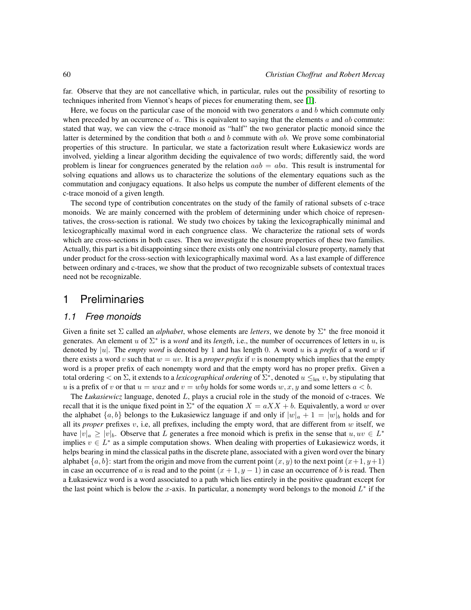far. Observe that they are not cancellative which, in particular, rules out the possibility of resorting to techniques inherited from Viennot's heaps of pieces for enumerating them, see [\[1\]](#page-13-2).

Here, we focus on the particular case of the monoid with two generators  $a$  and  $b$  which commute only when preceded by an occurrence of a. This is equivalent to saying that the elements a and ab commute: stated that way, we can view the c-trace monoid as "half" the two generator plactic monoid since the latter is determined by the condition that both  $a$  and  $b$  commute with  $ab$ . We prove some combinatorial properties of this structure. In particular, we state a factorization result where Łukasiewicz words are involved, yielding a linear algorithm deciding the equivalence of two words; differently said, the word problem is linear for congruences generated by the relation  $aab = aba$ . This result is instrumental for solving equations and allows us to characterize the solutions of the elementary equations such as the commutation and conjugacy equations. It also helps us compute the number of different elements of the c-trace monoid of a given length.

The second type of contribution concentrates on the study of the family of rational subsets of c-trace monoids. We are mainly concerned with the problem of determining under which choice of representatives, the cross-section is rational. We study two choices by taking the lexicographically minimal and lexicographically maximal word in each congruence class. We characterize the rational sets of words which are cross-sections in both cases. Then we investigate the closure properties of these two families. Actually, this part is a bit disappointing since there exists only one nontrivial closure property, namely that under product for the cross-section with lexicographically maximal word. As a last example of difference between ordinary and c-traces, we show that the product of two recognizable subsets of contextual traces need not be recognizable.

### 1 Preliminaries

#### <span id="page-1-0"></span>*1.1 Free monoids*

Given a finite set  $\Sigma$  called an *alphabet*, whose elements are *letters*, we denote by  $\Sigma^*$  the free monoid it generates. An element u of  $\Sigma^*$  is a *word* and its *length*, i.e., the number of occurrences of letters in u, is denoted by |u|. The *empty word* is denoted by 1 and has length 0. A word u is a *prefix* of a word w if there exists a word v such that  $w = uv$ . It is a *proper prefix* if v is nonempty which implies that the empty word is a proper prefix of each nonempty word and that the empty word has no proper prefix. Given a total ordering  $<$  on  $\Sigma$ , it extends to a *lexicographical ordering* of  $\Sigma^*$ , denoted  $u \leq_{\text{lex}} v$ , by stipulating that u is a prefix of v or that  $u = wax$  and  $v = wby$  holds for some words  $w, x, y$  and some letters  $a < b$ .

The *Łukasiewicz* language, denoted L, plays a crucial role in the study of the monoid of c-traces. We recall that it is the unique fixed point in  $\Sigma^*$  of the equation  $X = aXX + b$ . Equivalently, a word w over the alphabet  $\{a, b\}$  belongs to the Łukasiewicz language if and only if  $|w|_a + 1 = |w|_b$  holds and for all its *proper* prefixes v, i.e, all prefixes, including the empty word, that are different from  $w$  itself, we have  $|v|_a \ge |v|_b$ . Observe that L generates a free monoid which is prefix in the sense that  $u, uv \in L^*$ implies  $v \in L^*$  as a simple computation shows. When dealing with properties of Łukasiewicz words, it helps bearing in mind the classical paths in the discrete plane, associated with a given word over the binary alphabet  $\{a, b\}$ : start from the origin and move from the current point  $(x, y)$  to the next point  $(x+1, y+1)$ in case an occurrence of a is read and to the point  $(x + 1, y - 1)$  in case an occurrence of b is read. Then a Łukasiewicz word is a word associated to a path which lies entirely in the positive quadrant except for the last point which is below the x-axis. In particular, a nonempty word belongs to the monoid  $L^*$  if the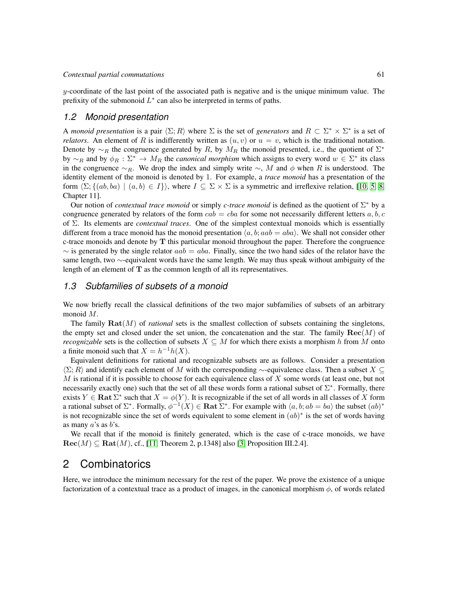$y$ -coordinate of the last point of the associated path is negative and is the unique minimum value. The prefixity of the submonoid  $L^*$  can also be interpreted in terms of paths.

#### *1.2 Monoid presentation*

A *monoid presentation* is a pair  $\langle \Sigma; R \rangle$  where  $\Sigma$  is the set of *generators* and  $R \subset \Sigma^* \times \Sigma^*$  is a set of *relators*. An element of R is indifferently written as  $(u, v)$  or  $u = v$ , which is the traditional notation. Denote by  $\sim_R$  the congruence generated by R, by  $M_R$  the monoid presented, i.e., the quotient of  $\Sigma^*$ by  $\sim_R$  and by  $\phi_R : \Sigma^* \to M_R$  the *canonical morphism* which assigns to every word  $w \in \Sigma^*$  its class in the congruence  $~\sim_R$ . We drop the index and simply write  $~\sim$ , M and  $\phi$  when R is understood. The identity element of the monoid is denoted by 1. For example, a *trace monoid* has a presentation of the form  $\langle \Sigma; \{(ab, ba) | (a, b) \in I \} \rangle$ , where  $I \subseteq \Sigma \times \Sigma$  is a symmetric and irreflexive relation, [\[10,](#page-13-3) [5,](#page-13-4) [8,](#page-13-5) Chapter 11].

Our notion of *contextual trace monoid* or simply *c-trace monoid* is defined as the quotient of Σ <sup>∗</sup> by a congruence generated by relators of the form  $cab = cba$  for some not necessarily different letters  $a, b, c$ of Σ. Its elements are *contextual traces*. One of the simplest contextual monoids which is essentially different from a trace monoid has the monoid presentation  $\langle a, b; aab = aba \rangle$ . We shall not consider other c-trace monoids and denote by  $T$  this particular monoid throughout the paper. Therefore the congruence  $\sim$  is generated by the single relator  $aab = aba$ . Finally, since the two hand sides of the relator have the same length, two ∼-equivalent words have the same length. We may thus speak without ambiguity of the length of an element of  $T$  as the common length of all its representatives.

#### <span id="page-2-0"></span>*1.3 Subfamilies of subsets of a monoid*

We now briefly recall the classical definitions of the two major subfamilies of subsets of an arbitrary monoid M.

The family  $\text{Rat}(M)$  of *rational* sets is the smallest collection of subsets containing the singletons, the empty set and closed under the set union, the concatenation and the star. The family  $\text{Rec}(M)$  of *recognizable* sets is the collection of subsets  $X \subseteq M$  for which there exists a morphism h from M onto a finite monoid such that  $X = h^{-1}h(X)$ .

Equivalent definitions for rational and recognizable subsets are as follows. Consider a presentation  $\langle \Sigma; R \rangle$  and identify each element of M with the corresponding ∼-equivalence class. Then a subset X ⊂  $M$  is rational if it is possible to choose for each equivalence class of  $X$  some words (at least one, but not necessarily exactly one) such that the set of all these words form a rational subset of  $\Sigma^*$ . Formally, there exists  $Y \in \textbf{Rat} \Sigma^*$  such that  $X = \phi(Y)$ . It is recognizable if the set of all words in all classes of X form a rational subset of  $\Sigma^*$ . Formally,  $\phi^{-1}(X) \in \mathbf{Rat} \Sigma^*$ . For example with  $\langle a, b; ab = ba \rangle$  the subset  $(ab)^*$ is not recognizable since the set of words equivalent to some element in  $(ab)^*$  is the set of words having as many  $a$ 's as  $b$ 's.

We recall that if the monoid is finitely generated, which is the case of c-trace monoids, we have  $\text{Rec}(M) \subseteq \text{Rat}(M)$ , cf., [\[11,](#page-13-6) Theorem 2, p.1348] also [\[3,](#page-13-7) Proposition III.2.4].

### 2 Combinatorics

Here, we introduce the minimum necessary for the rest of the paper. We prove the existence of a unique factorization of a contextual trace as a product of images, in the canonical morphism  $\phi$ , of words related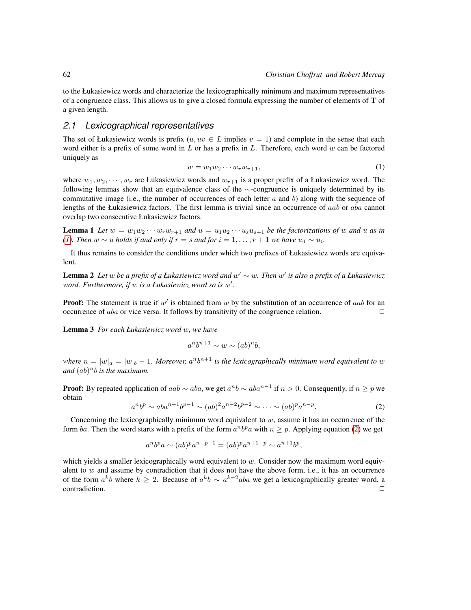to the Łukasiewicz words and characterize the lexicographically minimum and maximum representatives of a congruence class. This allows us to give a closed formula expressing the number of elements of  $T$  of a given length.

#### *2.1 Lexicographical representatives*

<span id="page-3-0"></span>The set of Łukasiewicz words is prefix  $(u, uv \in L$  implies  $v = 1$ ) and complete in the sense that each word either is a prefix of some word in  $L$  or has a prefix in  $L$ . Therefore, each word  $w$  can be factored uniquely as

$$
w = w_1 w_2 \cdots w_r w_{r+1},\tag{1}
$$

where  $w_1, w_2, \dots, w_r$  are Łukasiewicz words and  $w_{r+1}$  is a proper prefix of a Łukasiewicz word. The following lemmas show that an equivalence class of the ∼-congruence is uniquely determined by its commutative image (i.e., the number of occurrences of each letter  $a$  and  $b$ ) along with the sequence of lengths of the Łukasiewicz factors. The first lemma is trivial since an occurrence of aab or aba cannot overlap two consecutive Łukasiewicz factors.

**Lemma 1** Let  $w = w_1w_2 \cdots w_rw_{r+1}$  and  $u = u_1u_2 \cdots u_su_{s+1}$  be the factorizations of w and u as in *[\(1\)](#page-3-0). Then*  $w \sim u$  *holds if and only if*  $r = s$  *and for*  $i = 1, \ldots, r + 1$  *we have*  $w_i \sim u_i$ *.* 

It thus remains to consider the conditions under which two prefixes of Łukasiewicz words are equivalent.

<span id="page-3-2"></span>Lemma 2 *Let* w *be a prefix of a Łukasiewicz word and* w <sup>0</sup> ∼ w*. Then* w 0 *is also a prefix of a Łukasiewicz word. Furthermore, if* w *is a Łukasiewicz word so is* w 0 *.*

**Proof:** The statement is true if  $w'$  is obtained from  $w$  by the substitution of an occurrence of aab for an occurrence of *aba* or vice versa. It follows by transitivity of the congruence relation.  $\Box$ 

Lemma 3 *For each Łukasiewicz word* w*, we have*

$$
a^nb^{n+1} \sim w \sim (ab)^n b,
$$

where  $n = |w|_a = |w|_b - 1$ . Moreover,  $a^n b^{n+1}$  is the lexicographically minimum word equivalent to w and  $(ab)^n b$  *is the maximum.* 

<span id="page-3-1"></span>**Proof:** By repeated application of  $aab \sim aba$ , we get  $a^nb \sim aba^{n-1}$  if  $n > 0$ . Consequently, if  $n \geq p$  we obtain

$$
a^n b^p \sim aba^{n-1} b^{p-1} \sim (ab)^2 a^{n-2} b^{p-2} \sim \cdots \sim (ab)^p a^{n-p}.
$$
 (2)

Concerning the lexicographically minimum word equivalent to  $w$ , assume it has an occurrence of the form ba. Then the word starts with a prefix of the form  $a^n b^p a$  with  $n \geq p$ . Applying equation [\(2\)](#page-3-1) we get

$$
a^{n}b^{p}a \sim (ab)^{p}a^{n-p+1} = (ab)^{p}a^{n+1-p} \sim a^{n+1}b^{p},
$$

which yields a smaller lexicographically word equivalent to  $w$ . Consider now the maximum word equivalent to  $w$  and assume by contradiction that it does not have the above form, i.e., it has an occurrence of the form  $a^k b$  where  $k \geq 2$ . Because of  $a^k b \sim a^{k-2} a b a$  we get a lexicographically greater word, a  $\Box$ contradiction.  $\Box$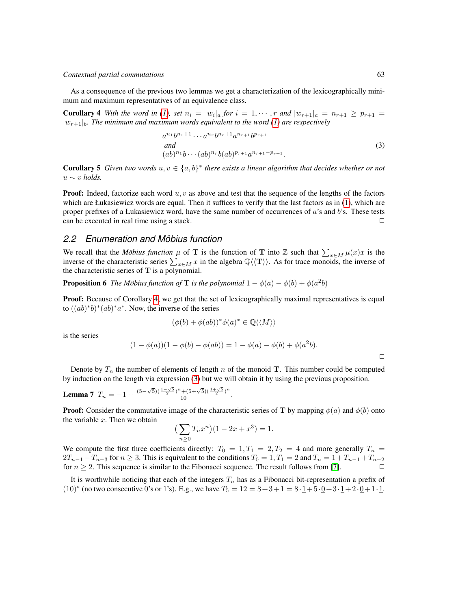#### *Contextual partial commutations* 63

As a consequence of the previous two lemmas we get a characterization of the lexicographically minimum and maximum representatives of an equivalence class.

<span id="page-4-0"></span>**Corollary 4** With the word in [\(1\)](#page-3-0), set  $n_i = |w_i|_a$  for  $i = 1, \dots, r$  and  $|w_{r+1}|_a = n_{r+1} \geq p_{r+1}$  $|w_{r+1}|_b$ *. The minimum and maximum words equivalent to the word [\(1\)](#page-3-0) are respectively* 

<span id="page-4-1"></span>
$$
a^{n_1}b^{n_1+1}\cdots a^{n_r}b^{n_r+1}a^{n_{r+1}}b^{p_{r+1}}
$$
  
\nand  
\n
$$
(ab)^{n_1}b\cdots (ab)^{n_r}b(ab)^{p_{r+1}}a^{n_{r+1}-p_{r+1}}.
$$
\n(3)

**Corollary 5** Given two words  $u, v \in \{a, b\}^*$  there exists a linear algorithm that decides whether or not  $u \sim v$  *holds.* 

**Proof:** Indeed, factorize each word  $u, v$  as above and test that the sequence of the lengths of the factors which are Łukasiewicz words are equal. Then it suffices to verify that the last factors as in [\(1\)](#page-3-0), which are proper prefixes of a Łukasiewicz word, have the same number of occurrences of a's and b's. These tests can be executed in real time using a stack.  $\Box$ 

#### *2.2 Enumeration and Mobius function ¨*

We recall that the *Möbius function*  $\mu$  of **T** is the function of **T** into Z such that  $\sum_{x \in M} \mu(x)x$  is the inverse of the characteristic series  $\sum_{x \in M} x$  in the algebra  $\mathbb{Q} \langle \langle \mathbf{T} \rangle \rangle$ . As for trace monoids, the inverse of the characteristic series of  $T$  is a polynomial.

**Proposition 6** *The Möbius function of* **T** *is the polynomial*  $1 - \phi(a) - \phi(b) + \phi(a^2b)$ 

**Proof:** Because of Corollary [4,](#page-4-0) we get that the set of lexicographically maximal representatives is equal to  $((ab)^*b)^*(ab)^*a^*$ . Now, the inverse of the series

$$
(\phi(b) + \phi(ab))^* \phi(a)^* \in \mathbb{Q} \langle \langle M \rangle \rangle
$$

is the series

$$
(1 - \phi(a))(1 - \phi(b) - \phi(ab)) = 1 - \phi(a) - \phi(b) + \phi(a^2b).
$$

Denote by  $T_n$  the number of elements of length n of the monoid T. This number could be computed by induction on the length via expression [\(3\)](#page-4-1) but we will obtain it by using the previous proposition.

**Lemma 7** 
$$
T_n = -1 + \frac{(5-\sqrt{5})(\frac{1-\sqrt{5}}{2})^n + (5+\sqrt{5})(\frac{1+\sqrt{5}}{2})^n}{10}
$$
.

**Proof:** Consider the commutative image of the characteristic series of T by mapping  $\phi(a)$  and  $\phi(b)$  onto the variable  $x$ . Then we obtain

$$
\left(\sum_{n\geq 0} T_n x^n\right) (1 - 2x + x^3) = 1.
$$

We compute the first three coefficients directly:  $T_0 = 1, T_1 = 2, T_2 = 4$  and more generally  $T_n =$  $2T_{n-1} - T_{n-3}$  for  $n \ge 3$ . This is equivalent to the conditions  $T_0 = 1, T_1 = 2$  and  $T_n = 1 + T_{n-1} + T_{n-2}$ for  $n \geq 2$ . This sequence is similar to the Fibonacci sequence. The result follows from [\[7\]](#page-13-8).

It is worthwhile noticing that each of the integers  $T_n$  has as a Fibonacci bit-representation a prefix of  $(10)^*$  (no two consecutive 0's or 1's). E.g., we have  $T_5 = 12 = 8 + 3 + 1 = 8 \cdot \underline{1} + 5 \cdot \underline{0} + 3 \cdot \underline{1} + 2 \cdot \underline{0} + 1 \cdot \underline{1}$ .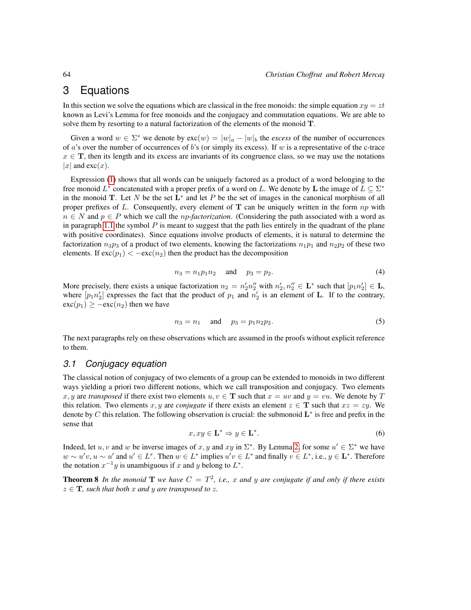## 3 Equations

In this section we solve the equations which are classical in the free monoids: the simple equation  $xy = zt$ known as Levi's Lemma for free monoids and the conjugacy and commutation equations. We are able to solve them by resorting to a natural factorization of the elements of the monoid T.

Given a word  $w \in \Sigma^*$  we denote by  $\text{exc}(w) = |w|_a - |w|_b$  the *excess* of the number of occurrences of a's over the number of occurrences of b's (or simply its excess). If w is a representative of the c-trace  $x \in$ **T**, then its length and its excess are invariants of its congruence class, so we may use the notations |x| and exc(x).

Expression [\(1\)](#page-3-0) shows that all words can be uniquely factored as a product of a word belonging to the free monoid  $L^*$  concatenated with a proper prefix of a word on L. We denote by L the image of  $L \subseteq \Sigma^*$ in the monoid T. Let N be the set  $L^*$  and let P be the set of images in the canonical morphism of all proper prefixes of L. Consequently, every element of  $T$  can be uniquely written in the form  $np$  with  $n \in N$  and  $p \in P$  which we call the *np-factorization*. (Considering the path associated with a word as in paragraph [1.1](#page-1-0) the symbol  $P$  is meant to suggest that the path lies entirely in the quadrant of the plane with positive coordinates). Since equations involve products of elements, it is natural to determine the factorization  $n_3p_3$  of a product of two elements, knowing the factorizations  $n_1p_1$  and  $n_2p_2$  of these two elements. If  $\text{exc}(p_1) < -\text{exc}(n_2)$  then the product has the decomposition

$$
n_3 = n_1 p_1 n_2 \quad \text{and} \quad p_3 = p_2. \tag{4}
$$

<span id="page-5-0"></span>More precisely, there exists a unique factorization  $n_2 = n'_2 n''_2$  with  $n'_2, n''_2 \in L^*$  such that  $[p_1 n'_2] \in L$ , where  $[p_1 n_2']$  expresses the fact that the product of  $p_1$  and  $n_2'$  is an element of **L**. If to the contrary,  $\mathrm{exc}(p_1) \geq -\mathrm{exc}(n_2)$  then we have

<span id="page-5-1"></span>
$$
n_3 = n_1 \quad \text{and} \quad p_3 = p_1 n_2 p_2. \tag{5}
$$

The next paragraphs rely on these observations which are assumed in the proofs without explicit reference to them.

#### *3.1 Conjugacy equation*

The classical notion of conjugacy of two elements of a group can be extended to monoids in two different ways yielding a priori two different notions, which we call transposition and conjugacy. Two elements x, y are *transposed* if there exist two elements  $u, v \in \mathbf{T}$  such that  $x = uv$  and  $y = vu$ . We denote by T this relation. Two elements x, y are *conjugate* if there exists an element  $z \in$ **T** such that  $xz = zy$ . We denote by C this relation. The following observation is crucial: the submonoid  $L^*$  is free and prefix in the sense that

$$
x, xy \in \mathbf{L}^* \Rightarrow y \in \mathbf{L}^*.
$$
 (6)

<span id="page-5-2"></span>Indeed, let u, v and w be inverse images of x, y and xy in  $\Sigma^*$ . By Lemma [2,](#page-3-2) for some  $u' \in \Sigma^*$  we have  $w \sim u'v, u \sim u'$  and  $u' \in L^*$ . Then  $w \in L^*$  implies  $u'v \in L^*$  and finally  $v \in L^*$ , i.e.,  $y \in L^*$ . Therefore the notation  $x^{-1}y$  is unambiguous if x and y belong to  $L^*$ .

**Theorem 8** In the monoid **T** we have  $C = T^2$ , i.e., x and y are conjugate if and only if there exists  $z \in \mathbf{T}$ , such that both x and y are transposed to z.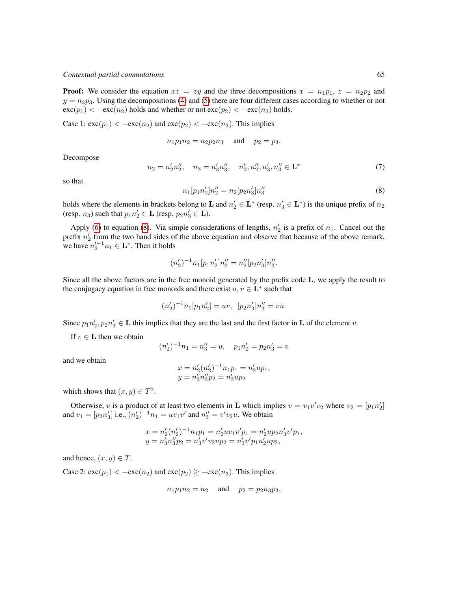#### *Contextual partial commutations* 65

**Proof:** We consider the equation  $xz = zy$  and the three decompositions  $x = n_1p_1$ ,  $z = n_2p_2$  and  $y = n_3p_3$ . Using the decompositions [\(4\)](#page-5-0) and [\(5\)](#page-5-1) there are four different cases according to whether or not  $\operatorname{exc}(p_1) < -\operatorname{exc}(n_2)$  holds and whether or not  $\operatorname{exc}(p_2) < -\operatorname{exc}(n_3)$  holds.

Case 1:  $\operatorname{exc}(p_1) < -\operatorname{exc}(n_2)$  and  $\operatorname{exc}(p_2) < -\operatorname{exc}(n_3)$ . This implies

$$
n_1p_1n_2 = n_2p_2n_3
$$
 and  $p_2 = p_3$ .

Decompose

$$
n_2 = n'_2 n''_2, \quad n_3 = n'_3 n''_3, \quad n'_2, n''_2, n'_3, n''_3 \in \mathbf{L}^*
$$
\n<sup>(7)</sup>

<span id="page-6-0"></span>so that

$$
n_1[p_1n_2']n_2'' = n_2[p_2n_3']n_3''
$$
\n(8)

holds where the elements in brackets belong to **L** and  $n'_2 \in L^*$  (resp.  $n'_3 \in L^*$ ) is the unique prefix of  $n_2$ (resp.  $n_3$ ) such that  $p_1 n_2' \in L$  (resp.  $p_2 n_3' \in L$ ).

Apply [\(6\)](#page-5-2) to equation [\(8\)](#page-6-0). Via simple considerations of lengths,  $n'_2$  is a prefix of  $n_1$ . Cancel out the prefix  $n'_2$  from the two hand sides of the above equation and observe that because of the above remark, we have  $n_2'^{-1}n_1 \in \mathbf{L}^*$ . Then it holds

$$
(n_2')^{-1}n_1[p_1n_2']n_2'' = n_2''[p_2n_3']n_3''.
$$

Since all the above factors are in the free monoid generated by the prefix code L, we apply the result to the conjugacy equation in free monoids and there exist  $u, v \in L^*$  such that

$$
(n_2')^{-1}n_1[p_1n_2'] = uv, \ \ [p_2n_3']n_3'' = vu.
$$

Since  $p_1n'_2, p_2n'_3 \in \mathbf{L}$  this implies that they are the last and the first factor in  $\mathbf{L}$  of the element v.

If  $v \in L$  then we obtain

$$
(n_2')^{-1}n_1 = n_3'' = u, \quad p_1 n_2' = p_2 n_3' = v
$$

and we obtain

$$
x = n'_2(n'_2)^{-1}n_1p_1 = n'_2up_1,
$$
  

$$
y = n'_3n''_3p_2 = n'_3up_2
$$

which shows that  $(x, y) \in T^2$ .

Otherwise, v is a product of at least two elements in **L** which implies  $v = v_1v'v_2$  where  $v_2 = [p_1n'_2]$ and  $v_1 = [p_2 n_3']$  i.e.,  $(n_2')^{-1} n_1 = uv_1 v'$  and  $n_3'' = v' v_2 u$ . We obtain

$$
x = n'_2(n'_2)^{-1}n_1p_1 = n'_2uv_1v'p_1 = n'_2up_2n'_3v'p_1,
$$
  

$$
y = n'_3n''_3p_2 = n'_3v'v_2up_2 = n'_3v'p_1n'_2up_2,
$$

and hence,  $(x, y) \in T$ .

Case 2:  $\operatorname{exc}(p_1) < -\operatorname{exc}(n_2)$  and  $\operatorname{exc}(p_2) \ge -\operatorname{exc}(n_3)$ . This implies

$$
n_1p_1n_2 = n_2 \quad \text{ and } \quad p_2 = p_2n_3p_3,
$$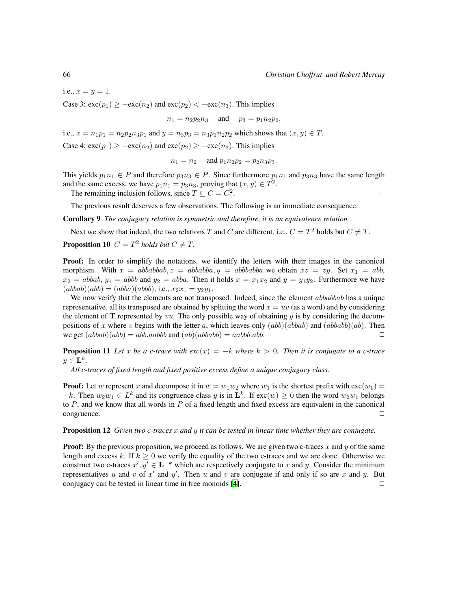i.e.,  $x = y = 1$ .

Case 3:  $\operatorname{exc}(p_1) \ge -\operatorname{exc}(n_2)$  and  $\operatorname{exc}(p_2) < -\operatorname{exc}(n_3)$ . This implies

 $n_1 = n_2 p_2 n_3$  and  $p_3 = p_1 n_2 p_2$ ,

i.e.,  $x = n_1 p_1 = n_2 p_2 n_3 p_1$  and  $y = n_3 p_3 = n_3 p_1 n_2 p_2$  which shows that  $(x, y) \in T$ .

Case 4:  $\operatorname{exc}(p_1) > -\operatorname{exc}(n_2)$  and  $\operatorname{exc}(p_2) > -\operatorname{exc}(n_3)$ . This implies

$$
n_1 = n_2
$$
 and  $p_1 n_2 p_2 = p_2 n_3 p_3$ .

This yields  $p_1n_1 \in P$  and therefore  $p_3n_3 \in P$ . Since furthermore  $p_1n_1$  and  $p_3n_3$  have the same length and the same excess, we have  $p_1 n_1 = p_3 n_3$ , proving that  $(x, y) \in T^2$ .

The remaining inclusion follows, since  $T \subseteq C = C^2$ 

. The contract of the contract of  $\Box$ 

The previous result deserves a few observations. The following is an immediate consequence.

Corollary 9 *The conjugacy relation is symmetric and therefore, it is an equivalence relation.*

Next we show that indeed, the two relations T and C are different, i.e.,  $C = T^2$  holds but  $C \neq T$ .

**Proposition 10**  $C = T^2$  *holds but*  $C \neq T$ *.* 

Proof: In order to simplify the notations, we identify the letters with their images in the canonical morphism. With  $x = abbabbab, z = abbabba, y = abbabbabba$  we obtain  $xz = zy$ . Set  $x_1 = abb$ ,  $x_2 = abbab, y_1 = abbb$  and  $y_2 = abba$ . Then it holds  $x = x_1x_2$  and  $y = y_1y_2$ . Furthermore we have  $(abbab)(abb) = (abba)(abbb), i.e., x_2x_1 = y_2y_1.$ 

We now verify that the elements are not transposed. Indeed, since the element *abbabbab* has a unique representative, all its transposed are obtained by splitting the word  $x = uv$  (as a word) and by considering the element of  **represented by**  $vu$ **. The only possible way of obtaining**  $y$  **is by considering the decom**positions of x where v begins with the letter a, which leaves only  $(abb)(abbab)$  and  $(abbabb)(ab)$ . Then we get  $(abbab)(abb) = abb.aabbb$  and  $(ab)(ababb) = aabbbabb$ .

**Proposition 11** Let x be a c-trace with  $exc(x) = -k$  where  $k > 0$ . Then it is conjugate to a c-trace  $y \in {\bf L}^k$ .

*All c-traces of fixed length and fixed positive excess define a unique conjugacy class.*

**Proof:** Let w represent x and decompose it in  $w = w_1w_2$  where  $w_1$  is the shortest prefix with  $\text{exc}(w_1)$  $-k$ . Then  $w_2w_1 \in L^k$  and its congruence class y is in  $\mathbf{L}^k$ . If  $\text{exc}(w) \geq 0$  then the word  $w_2w_1$  belongs to  $P$ , and we know that all words in  $P$  of a fixed length and fixed excess are equivalent in the canonical  $\Box$ congruence.  $\Box$ 

Proposition 12 *Given two c-traces* x *and* y *it can be tested in linear time whether they are conjugate.*

**Proof:** By the previous proposition, we proceed as follows. We are given two c-traces x and y of the same length and excess k. If  $k \geq 0$  we verify the equality of the two c-traces and we are done. Otherwise we construct two c-traces  $x', y' \in \mathbf{L}^{-k}$  which are respectively conjugate to x and y. Consider the minimum representatives u and v of x' and y'. Then u and v are conjugate if and only if so are x and y. But conjugacy can be tested in linear time in free monoids  $[4]$ .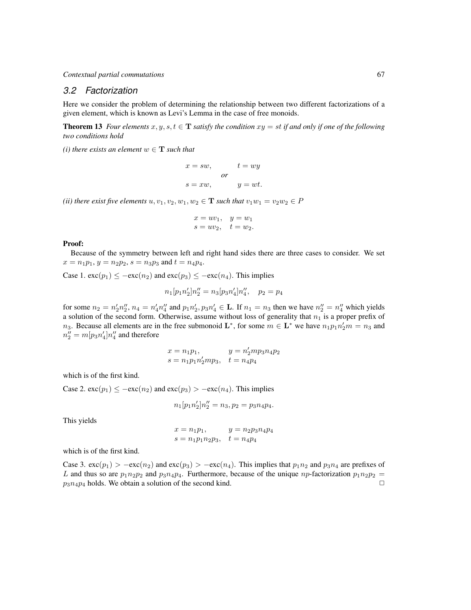#### *3.2 Factorization*

Here we consider the problem of determining the relationship between two different factorizations of a given element, which is known as Levi's Lemma in the case of free monoids.

**Theorem 13** *Four elements*  $x, y, s, t \in$ **T** *satisfy the condition*  $xy = st$  *if and only if one of the following two conditions hold*

*(i) there exists an element*  $w \in \mathbf{T}$  *such that* 

$$
x = sw,
$$
  
\n
$$
t = wy
$$
  
\n
$$
or
$$
  
\n
$$
s = xw,
$$
  
\n
$$
t = wy
$$
  
\n
$$
or
$$
  
\n
$$
y = wt.
$$

*(ii) there exist five elements*  $u, v_1, v_2, w_1, w_2 \in \mathbf{T}$  *such that*  $v_1w_1 = v_2w_2 \in P$ 

$$
x = uv_1, \quad y = w_1
$$
  

$$
s = uv_2, \quad t = w_2.
$$

#### Proof:

Because of the symmetry between left and right hand sides there are three cases to consider. We set  $x = n_1p_1, y = n_2p_2, s = n_3p_3$  and  $t = n_4p_4$ .

Case 1.  $\operatorname{exc}(p_1) \leq -\operatorname{exc}(n_2)$  and  $\operatorname{exc}(p_3) \leq -\operatorname{exc}(n_4)$ . This implies

$$
n_1[p_1n'_2]n''_2 = n_3[p_3n'_4]n''_4, \quad p_2 = p_4
$$

for some  $n_2 = n'_2 n''_2$ ,  $n_4 = n'_4 n''_4$  and  $p_1 n'_2, p_3 n'_4 \in \mathbf{L}$ . If  $n_1 = n_3$  then we have  $n''_2 = n''_4$  which yields a solution of the second form. Otherwise, assume without loss of generality that  $n_1$  is a proper prefix of n<sub>3</sub>. Because all elements are in the free submonoid  $\mathbf{L}^*$ , for some  $m \in \mathbf{L}^*$  we have  $n_1 p_1 n_2' m = n_3$  and  $n_2'' = m[p_3 n_4'] n_4''$  and therefore

$$
x = n_1p_1,
$$
  $y = n'_2mp_3n_4p_2$   
\n $s = n_1p_1n'_2mp_3$ ,  $t = n_4p_4$ 

which is of the first kind.

Case 2.  $\operatorname{exc}(p_1) \le -\operatorname{exc}(n_2)$  and  $\operatorname{exc}(p_3) > -\operatorname{exc}(n_4)$ . This implies

$$
n_1[p_1n_2']n_2'' = n_3, p_2 = p_3n_4p_4.
$$

This yields

$$
x = n_1p_1,
$$
  $y = n_2p_3n_4p_4$   
\n $s = n_1p_1n_2p_3$ ,  $t = n_4p_4$ 

which is of the first kind.

Case 3.  $\text{exc}(p_1) > -\text{exc}(n_2)$  and  $\text{exc}(p_3) > -\text{exc}(n_4)$ . This implies that  $p_1 n_2$  and  $p_3 n_4$  are prefixes of L and thus so are  $p_1n_2p_2$  and  $p_3n_4p_4$ . Furthermore, because of the unique  $np$ -factorization  $p_1n_2p_2$  =  $p_3n_4p_4$  holds. We obtain a solution of the second kind.  $\Box$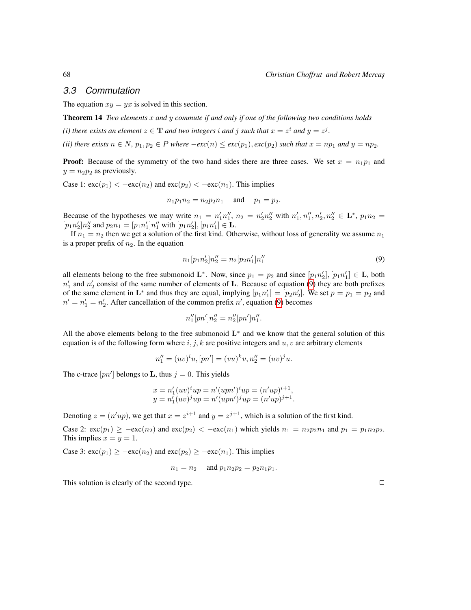#### *3.3 Commutation*

The equation  $xy = yx$  is solved in this section.

Theorem 14 *Two elements* x *and* y *commute if and only if one of the following two conditions holds*

*(i) there exists an element*  $z \in \mathbf{T}$  *and two integers i and j such that*  $x = z^i$  *and*  $y = z^j$ *.* 

*(ii) there exists*  $n \in N$ ,  $p_1, p_2 \in P$  *where*  $-exc(n) \leq exc(p_1)$ ,  $exc(p_2)$  *such that*  $x = np_1$  *and*  $y = np_2$ .

**Proof:** Because of the symmetry of the two hand sides there are three cases. We set  $x = n_1p_1$  and  $y = n_2p_2$  as previously.

Case 1:  $\operatorname{exc}(p_1) < -\operatorname{exc}(n_2)$  and  $\operatorname{exc}(p_2) < -\operatorname{exc}(n_1)$ . This implies

$$
n_1p_1n_2 = n_2p_2n_1
$$
 and  $p_1 = p_2$ .

Because of the hypotheses we may write  $n_1 = n'_1 n''_1$ ,  $n_2 = n'_2 n''_2$  with  $n'_1, n''_1, n'_2, n''_2 \in \mathbf{L}^*$ ,  $p_1 n_2 =$  $[p_1n_2']n_2''$  and  $p_2n_1 = [p_1n_1']n_1''$  with  $[p_1n_2'], [p_1n_1'] \in \mathbf{L}$ .

If  $n_1 = n_2$  then we get a solution of the first kind. Otherwise, without loss of generality we assume  $n_1$ is a proper prefix of  $n_2$ . In the equation

<span id="page-9-0"></span>
$$
n_1[p_1n_2']n_2'' = n_2[p_2n_1']n_1''
$$
\n(9)

all elements belong to the free submonoid  $\mathbf{L}^*$ . Now, since  $p_1 = p_2$  and since  $[p_1 n'_2], [p_1 n'_1] \in \mathbf{L}$ , both  $n'_1$  and  $n'_2$  consist of the same number of elements of L. Because of equation [\(9\)](#page-9-0) they are both prefixes of the same element in  $\mathbf{L}^*$  and thus they are equal, implying  $[p_1 n'_1] = [p_2 n'_2]$ . We set  $p = p_1 = p_2$  and  $n' = n'_1 = n'_2$ . After cancellation of the common prefix n', equation [\(9\)](#page-9-0) becomes

$$
n_1''[pn']n_2'' = n_2''[pn']n_1''.
$$

All the above elements belong to the free submonoid  $L^*$  and we know that the general solution of this equation is of the following form where  $i, j, k$  are positive integers and  $u, v$  are arbitrary elements

$$
n_1'' = (uv)^i u, [pn'] = (vu)^k v, n_2'' = (uv)^j u.
$$

The c-trace  $[pn']$  belongs to **L**, thus  $j = 0$ . This yields

$$
x = n'_1 (uv)^i up = n'(upn')^i up = (n'up)^{i+1},
$$
  

$$
y = n'_1 (uv)^j up = n'(upn')^j up = (n'up)^{j+1}.
$$

Denoting  $z = (n'up)$ , we get that  $x = z^{i+1}$  and  $y = z^{j+1}$ , which is a solution of the first kind.

Case 2:  $\operatorname{exc}(p_1) \ge -\operatorname{exc}(n_2)$  and  $\operatorname{exc}(p_2) < -\operatorname{exc}(n_1)$  which yields  $n_1 = n_2 p_2 n_1$  and  $p_1 = p_1 n_2 p_2$ . This implies  $x = y = 1$ .

Case 3:  $\operatorname{exc}(p_1) \ge -\operatorname{exc}(n_2)$  and  $\operatorname{exc}(p_2) \ge -\operatorname{exc}(n_1)$ . This implies

$$
n_1 = n_2
$$
 and  $p_1 n_2 p_2 = p_2 n_1 p_1$ .

This solution is clearly of the second type.  $\Box$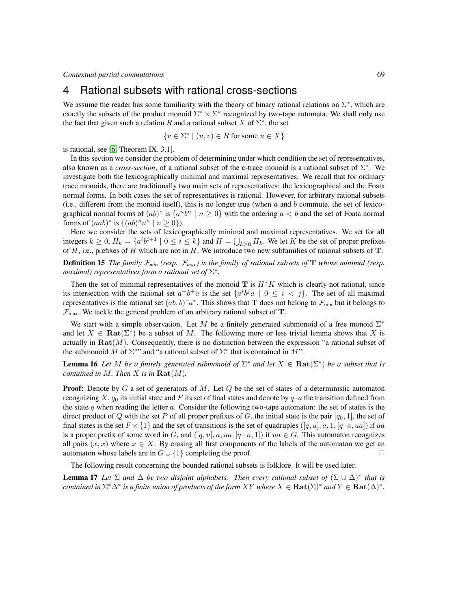## 4 Rational subsets with rational cross-sections

We assume the reader has some familiarity with the theory of binary rational relations on  $\Sigma^*$ , which are exactly the subsets of the product monoid  $\Sigma^* \times \Sigma^*$  recognized by two-tape automata. We shall only use the fact that given such a relation R and a rational subset X of  $\Sigma^*$ , the set

$$
\{v \in \Sigma^* \mid (u, v) \in R \text{ for some } u \in X\}
$$

is rational, see [\[6,](#page-13-10) Theorem IX. 3.1].

In this section we consider the problem of determining under which condition the set of representatives, also known as a *cross-section*, of a rational subset of the c-trace monoid is a rational subset of  $\Sigma^*$ . We investigate both the lexicographically minimal and maximal representatives. We recall that for ordinary trace monoids, there are traditionally two main sets of representatives: the lexicographical and the Foata normal forms. In both cases the set of representatives is rational. However, for arbitrary rational subsets (i.e., different from the monoid itself), this is no longer true (when  $a$  and  $b$  commute, the set of lexicographical normal forms of  $(ab)^*$  is  $\{a^nb^n \mid n \ge 0\}$  with the ordering  $a < b$  and the set of Foata normal forms of  $(aab)^*$  is  $\{(ab)^n a^n \mid n \ge 0\}$ ).

Here we consider the sets of lexicographically minimal and maximal representatives. We set for all integers  $k \ge 0$ ,  $H_k = \{a^i b^{i+1} \mid 0 \le i \le k\}$  and  $H = \bigcup_{k \ge 0} H_k$ . We let K be the set of proper prefixes of  $H$ , i.e., prefixes of  $H$  which are not in  $H$ . We introduce two new subfamilies of rational subsets of  $T$ .

**Definition 15** *The family*  $\mathcal{F}_{min}$  *(resp.*  $\mathcal{F}_{max}$ *) is the family of rational subsets of* **T** *whose minimal (resp.* maximal) representatives form a rational set of  $\Sigma^*$ .

Then the set of minimal representatives of the monoid  $T$  is  $H^*K$  which is clearly not rational, since its intersection with the rational set  $a^+b^+a$  is the set  $\{a^i b^j a \mid 0 \le i < j\}$ . The set of all maximal representatives is the rational set  $(ab, b)^*a^*$ . This shows that T does not belong to  $\mathcal{F}_{min}$  but it belongs to  $\mathcal{F}_{\text{max}}$ . We tackle the general problem of an arbitrary rational subset of T.

We start with a simple observation. Let M be a finitely generated submonoid of a free monoid  $\Sigma^*$ and let  $X \in \text{Rat}(\Sigma^*)$  be a subset of M. The following more or less trivial lemma shows that X is actually in  $\text{Rat}(M)$ . Consequently, there is no distinction between the expression "a rational subset of the submonoid M of  $\Sigma^*$ " and "a rational subset of  $\Sigma^*$  that is contained in M".

<span id="page-10-0"></span>**Lemma 16** Let M be a finitely generated submonoid of  $\Sigma^*$  and let  $X \in \textbf{Rat}(\Sigma^*)$  be a subset that is *contained in*  $M$ *. Then*  $X$  *is in*  $\textbf{Rat}(M)$ *.* 

**Proof:** Denote by  $G$  a set of generators of  $M$ . Let  $Q$  be the set of states of a deterministic automaton recognizing X,  $q_0$  its initial state and F its set of final states and denote by  $q \cdot a$  the transition defined from the state q when reading the letter  $a$ . Consider the following two-tape automaton: the set of states is the direct product of Q with the set P of all proper prefixes of G, the initial state is the pair  $[q_0, 1]$ , the set of final states is the set  $F \times \{1\}$  and the set of transitions is the set of quadruples  $([q, u], a, 1, [q \cdot a, ua])$  if ua is a proper prefix of some word in G, and  $([q, u], a, ua, [q \cdot a, 1])$  if  $ua \in G$ . This automaton recognizes all pairs  $(x, x)$  where  $x \in X$ . By erasing all first components of the labels of the automaton we get an automaton whose labels are in  $G \cup \{1\}$  completing the proof.  $\Box$ 

The following result concerning the bounded rational subsets is folklore. It will be used later.

<span id="page-10-1"></span>**Lemma 17** Let  $\Sigma$  and  $\Delta$  be two disjoint alphabets. Then every rational subset of  $(\Sigma \cup \Delta)^*$  that is *contained in*  $\Sigma^*\Delta^*$  *is a finite union of products of the form XY where*  $X \in \textbf{Rat}(\Sigma)^*$  *and*  $Y \in \textbf{Rat}(\Delta)^*$ *.*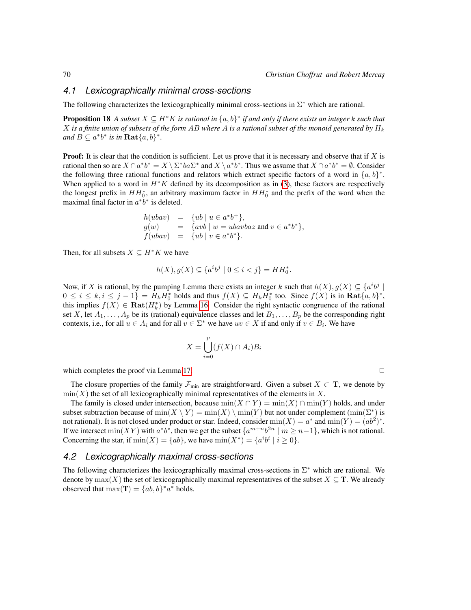#### *4.1 Lexicographically minimal cross-sections*

The following characterizes the lexicographically minimal cross-sections in  $\Sigma^*$  which are rational.

**Proposition 18** A subset  $X \subseteq H^*K$  is rational in  $\{a, b\}^*$  if and only if there exists an integer  $k$  such that X *is a finite union of subsets of the form* AB *where* A *is a rational subset of the monoid generated by* H<sup>k</sup> *and*  $B \subseteq a^*b^*$  *is in* **Rat** $\{a,b\}^*$ *.* 

**Proof:** It is clear that the condition is sufficient. Let us prove that it is necessary and observe that if  $X$  is rational then so are  $X \cap a^*b^* = X \setminus \Sigma^*ba\Sigma^*$  and  $X \setminus a^*b^*$ . Thus we assume that  $X \cap a^*b^* = \emptyset$ . Consider the following three rational functions and relators which extract specific factors of a word in  $\{a, b\}^*$ . When applied to a word in  $H^*K$  defined by its decomposition as in [\(3\)](#page-4-1), these factors are respectively the longest prefix in  $HH_0^*$ , an arbitrary maximum factor in  $HH_0^*$  and the prefix of the word when the maximal final factor in  $a^*b^*$  is deleted.

$$
h(ubav) = \{ub \mid u \in a^*b^+\},
$$
  
\n
$$
g(w) = \{avb \mid w = ubavbaz \text{ and } v \in a^*b^*\},
$$
  
\n
$$
f(ubav) = \{ub \mid v \in a^*b^*\}.
$$

Then, for all subsets  $X \subseteq H^*K$  we have

$$
h(X), g(X) \subseteq \{a^i b^j \mid 0 \le i < j\} = HH_0^*
$$

.

Now, if X is rational, by the pumping Lemma there exists an integer k such that  $h(X)$ ,  $g(X) \subseteq \{a^i b^j \mid$  $0 \le i \le k, i \le j-1$  =  $H_k H_0^*$  holds and thus  $f(X) \subseteq H_k H_0^*$  too. Since  $f(X)$  is in  $\text{Rat}\lbrace a,b\rbrace^*$ , this implies  $f(X) \in \text{Rat}(H_k^*)$  by Lemma [16.](#page-10-0) Consider the right syntactic congruence of the rational set X, let  $A_1, \ldots, A_p$  be its (rational) equivalence classes and let  $B_1, \ldots, B_p$  be the corresponding right contexts, i.e., for all  $u \in A_i$  and for all  $v \in \Sigma^*$  we have  $uv \in X$  if and only if  $v \in B_i$ . We have

$$
X = \bigcup_{i=0}^{p} (f(X) \cap A_i) B_i
$$

which completes the proof via Lemma [17.](#page-10-1)  $\Box$ 

The closure properties of the family  $\mathcal{F}_{min}$  are straightforward. Given a subset  $X \subset \mathbf{T}$ , we denote by  $\min(X)$  the set of all lexicographically minimal representatives of the elements in X.

The family is closed under intersection, because  $min(X \cap Y) = min(X) \cap min(Y)$  holds, and under subset subtraction because of  $min(X \setminus Y) = min(X) \setminus min(Y)$  but not under complement  $(min(\Sigma^*)$  is not rational). It is not closed under product or star. Indeed, consider  $min(X) = a^*$  and  $min(Y) = (ab^2)^*$ . If we intersect  $\min(XY)$  with  $a^*b^*$ , then we get the subset  $\{a^{m+n}b^{2n} \mid m \geq n-1\}$ , which is not rational. Concerning the star, if  $min(X) = \{ab\}$ , we have  $min(X^*) = \{a^i b^i \mid i \ge 0\}$ .

#### *4.2 Lexicographically maximal cross-sections*

<span id="page-11-0"></span>The following characterizes the lexicographically maximal cross-sections in  $\Sigma^*$  which are rational. We denote by  $max(X)$  the set of lexicographically maximal representatives of the subset  $X \subseteq T$ . We already observed that  $\max(\mathbf{T}) = \{ab, b\}^* a^*$  holds.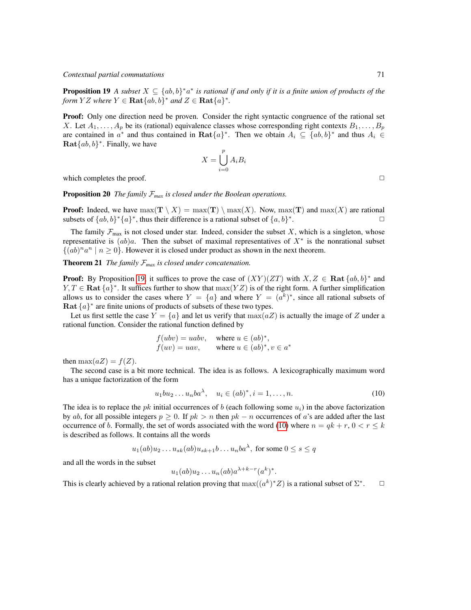**Proposition 19** A subset  $X \subseteq \{ab,b\}^*a^*$  is rational if and only if it is a finite union of products of the *form*  $YZ$  *where*  $Y \in \textbf{Rat} \{ab, b\}^*$  *and*  $Z \in \textbf{Rat} \{a\}^*$ .

**Proof:** Only one direction need be proven. Consider the right syntactic congruence of the rational set X. Let  $A_1, \ldots, A_p$  be its (rational) equivalence classes whose corresponding right contexts  $B_1, \ldots, B_p$ are contained in  $a^*$  and thus contained in  $\text{Rat}\{a\}^*$ . Then we obtain  $A_i \subseteq \{ab,b\}^*$  and thus  $A_i \in$  $\textbf{Rat} \{ab, b\}^*$ . Finally, we have

$$
X = \bigcup_{i=0}^{p} A_i B_i
$$

which completes the proof.  $\Box$ 

Proposition 20 *The family* F*max is closed under the Boolean operations.*

**Proof:** Indeed, we have  $max(\mathbf{T} \setminus X) = max(\mathbf{T}) \setminus max(X)$ . Now,  $max(\mathbf{T})$  and  $max(X)$  are rational subsets of  $\{ab, b\}^*\{a\}^*$ , thus their difference is a rational subset of  $\{a, b\}^*$ .  $\Box$ 

The family  $\mathcal{F}_{\text{max}}$  is not closed under star. Indeed, consider the subset X, which is a singleton, whose representative is  $(ab)a$ . Then the subset of maximal representatives of  $X^*$  is the nonrational subset  $\{(ab)^{n}a^{n} \mid n \ge 0\}$ . However it is closed under product as shown in the next theorem.

<span id="page-12-1"></span>**Theorem 21** *The family*  $\mathcal{F}_{max}$  *is closed under concatenation.* 

**Proof:** By Proposition [19,](#page-11-0) it suffices to prove the case of  $(XY)(ZT)$  with  $X, Z \in \textbf{Rat} \{ab, b\}^*$  and  $Y, T \in \textbf{Rat } \{a\}^*$ . It suffices further to show that  $\max(YZ)$  is of the right form. A further simplification allows us to consider the cases where  $Y = \{a\}$  and where  $Y = (a^k)^*$ , since all rational subsets of Rat  $\{a\}^*$  are finite unions of products of subsets of these two types.

Let us first settle the case  $Y = \{a\}$  and let us verify that  $\max(aZ)$  is actually the image of Z under a rational function. Consider the rational function defined by

$$
f(ubv) = uabv, \quad \text{where } u \in (ab)^*,
$$
  

$$
f(uv) = uav, \quad \text{where } u \in (ab)^*, v \in a^*
$$

then  $\max(aZ) = f(Z)$ .

The second case is a bit more technical. The idea is as follows. A lexicographically maximum word has a unique factorization of the form

<span id="page-12-0"></span>
$$
u_1bu_2...u_nba^{\lambda}, \quad u_i \in (ab)^*, i = 1,...,n.
$$
 (10)

The idea is to replace the pk initial occurrences of b (each following some  $u_i$ ) in the above factorization by ab, for all possible integers  $p > 0$ . If  $pk > n$  then  $pk - n$  occurrences of a's are added after the last occurrence of b. Formally, the set of words associated with the word [\(10\)](#page-12-0) where  $n = qk + r$ ,  $0 < r \leq k$ is described as follows. It contains all the words

$$
u_1(ab)u_2...u_{sk}(ab)u_{sk+1}b...u_nba^{\lambda}
$$
, for some  $0 \le s \le q$ 

and all the words in the subset

$$
u_1(ab)u_2\ldots u_n(ab)a^{\lambda+k-r}(a^k)^*.
$$

This is clearly achieved by a rational relation proving that  $\max((a^k)^*Z)$  is a rational subset of  $\Sigma^*$  $\Box$